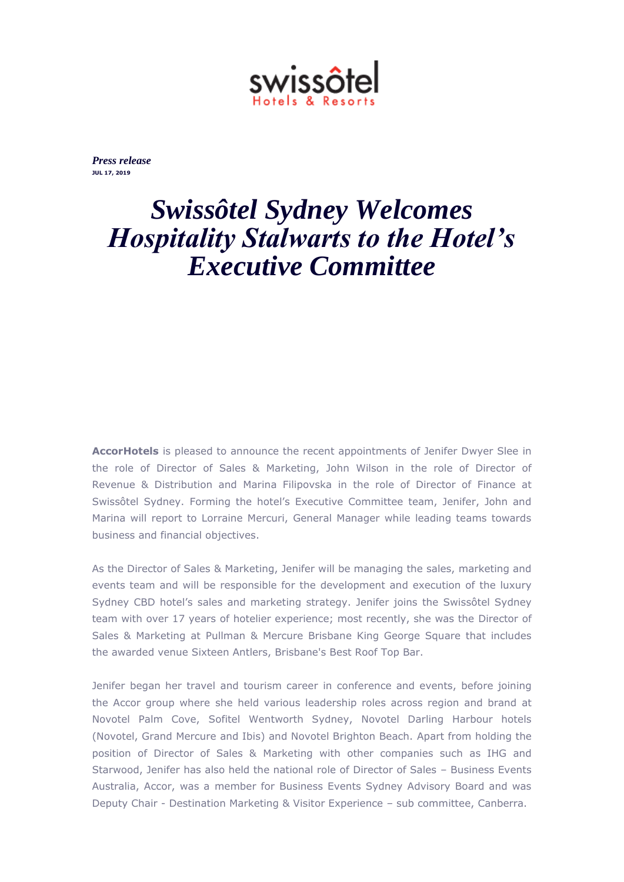

*Press release* **JUL 17, 2019**

## *Swissôtel Sydney Welcomes Hospitality Stalwarts to the Hotel's Executive Committee*

**AccorHotels** is pleased to announce the recent appointments of Jenifer Dwyer Slee in the role of Director of Sales & Marketing, John Wilson in the role of Director of Revenue & Distribution and Marina Filipovska in the role of Director of Finance at Swissôtel Sydney. Forming the hotel's Executive Committee team, Jenifer, John and Marina will report to Lorraine Mercuri, General Manager while leading teams towards business and financial objectives.

As the Director of Sales & Marketing, Jenifer will be managing the sales, marketing and events team and will be responsible for the development and execution of the luxury Sydney CBD hotel's sales and marketing strategy. Jenifer joins the Swissôtel Sydney team with over 17 years of hotelier experience; most recently, she was the Director of Sales & Marketing at Pullman & Mercure Brisbane King George Square that includes the awarded venue Sixteen Antlers, Brisbane's Best Roof Top Bar.

Jenifer began her travel and tourism career in conference and events, before joining the Accor group where she held various leadership roles across region and brand at Novotel Palm Cove, Sofitel Wentworth Sydney, Novotel Darling Harbour hotels (Novotel, Grand Mercure and Ibis) and Novotel Brighton Beach. Apart from holding the position of Director of Sales & Marketing with other companies such as IHG and Starwood, Jenifer has also held the national role of Director of Sales – Business Events Australia, Accor, was a member for Business Events Sydney Advisory Board and was Deputy Chair - Destination Marketing & Visitor Experience – sub committee, Canberra.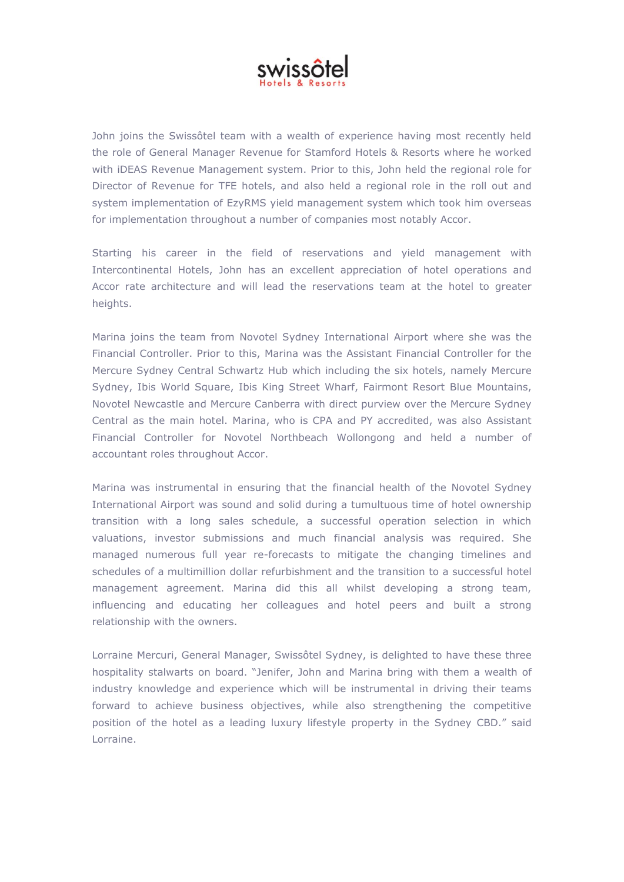

John joins the Swissôtel team with a wealth of experience having most recently held the role of General Manager Revenue for Stamford Hotels & Resorts where he worked with iDEAS Revenue Management system. Prior to this, John held the regional role for Director of Revenue for TFE hotels, and also held a regional role in the roll out and system implementation of EzyRMS yield management system which took him overseas for implementation throughout a number of companies most notably Accor.

Starting his career in the field of reservations and yield management with Intercontinental Hotels, John has an excellent appreciation of hotel operations and Accor rate architecture and will lead the reservations team at the hotel to greater heights.

Marina joins the team from Novotel Sydney International Airport where she was the Financial Controller. Prior to this, Marina was the Assistant Financial Controller for the Mercure Sydney Central Schwartz Hub which including the six hotels, namely Mercure Sydney, Ibis World Square, Ibis King Street Wharf, Fairmont Resort Blue Mountains, Novotel Newcastle and Mercure Canberra with direct purview over the Mercure Sydney Central as the main hotel. Marina, who is CPA and PY accredited, was also Assistant Financial Controller for Novotel Northbeach Wollongong and held a number of accountant roles throughout Accor.

Marina was instrumental in ensuring that the financial health of the Novotel Sydney International Airport was sound and solid during a tumultuous time of hotel ownership transition with a long sales schedule, a successful operation selection in which valuations, investor submissions and much financial analysis was required. She managed numerous full year re-forecasts to mitigate the changing timelines and schedules of a multimillion dollar refurbishment and the transition to a successful hotel management agreement. Marina did this all whilst developing a strong team, influencing and educating her colleagues and hotel peers and built a strong relationship with the owners.

Lorraine Mercuri, General Manager, Swissôtel Sydney, is delighted to have these three hospitality stalwarts on board. "Jenifer, John and Marina bring with them a wealth of industry knowledge and experience which will be instrumental in driving their teams forward to achieve business objectives, while also strengthening the competitive position of the hotel as a leading luxury lifestyle property in the Sydney CBD." said Lorraine.